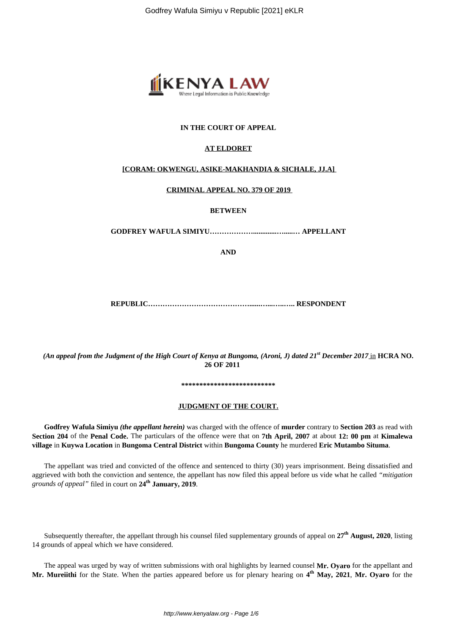

## **IN THE COURT OF APPEAL**

### **AT ELDORET**

## **[CORAM: OKWENGU, ASIKE-MAKHANDIA & SICHALE, JJ.A]**

#### **CRIMINAL APPEAL NO. 379 OF 2019**

## **BETWEEN**

**GODFREY WAFULA SIMIYU……………….............….....… APPELLANT**

**AND**

**REPUBLIC……………………………………......…...…..….. RESPONDENT**

*(An appeal from the Judgment of the High Court of Kenya at Bungoma, (Aroni, J) dated 21st December 2017* in **HCRA NO. 26 OF 2011**

#### **\*\*\*\*\*\*\*\*\*\*\*\*\*\*\*\*\*\*\*\*\*\*\*\*\*\***

#### **JUDGMENT OF THE COURT.**

**Godfrey Wafula Simiyu** *(the appellant herein)* was charged with the offence of **murder** contrary to **Section 203** as read with **Section 204** of the **Penal Code.** The particulars of the offence were that on **7th April, 2007** at about **12: 00 pm** at **Kimalewa village** in **Kuywa Location** in **Bungoma Central District** within **Bungoma County** he murdered **Eric Mutambo Situma**.

The appellant was tried and convicted of the offence and sentenced to thirty (30) years imprisonment. Being dissatisfied and aggrieved with both the conviction and sentence, the appellant has now filed this appeal before us vide what he called *"mitigation grounds of appeal"* filed in court on **24th January, 2019**.

Subsequently thereafter, the appellant through his counsel filed supplementary grounds of appeal on **27th August, 2020**, listing 14 grounds of appeal which we have considered.

The appeal was urged by way of written submissions with oral highlights by learned counsel **Mr. Oyaro** for the appellant and **Mr. Mureiithi** for the State. When the parties appeared before us for plenary hearing on **4 th May, 2021**, **Mr. Oyaro** for the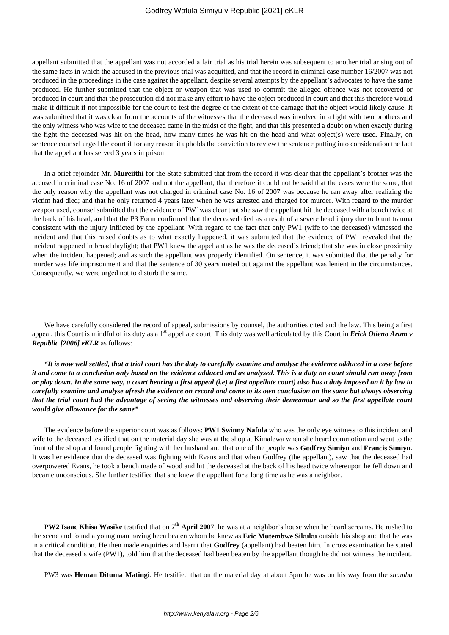appellant submitted that the appellant was not accorded a fair trial as his trial herein was subsequent to another trial arising out of the same facts in which the accused in the previous trial was acquitted, and that the record in criminal case number 16/2007 was not produced in the proceedings in the case against the appellant, despite several attempts by the appellant's advocates to have the same produced. He further submitted that the object or weapon that was used to commit the alleged offence was not recovered or produced in court and that the prosecution did not make any effort to have the object produced in court and that this therefore would make it difficult if not impossible for the court to test the degree or the extent of the damage that the object would likely cause. It was submitted that it was clear from the accounts of the witnesses that the deceased was involved in a fight with two brothers and the only witness who was wife to the deceased came in the midst of the fight, and that this presented a doubt on when exactly during the fight the deceased was hit on the head, how many times he was hit on the head and what object(s) were used. Finally, on sentence counsel urged the court if for any reason it upholds the conviction to review the sentence putting into consideration the fact that the appellant has served 3 years in prison

In a brief rejoinder Mr. **Mureiithi** for the State submitted that from the record it was clear that the appellant's brother was the accused in criminal case No. 16 of 2007 and not the appellant; that therefore it could not be said that the cases were the same; that the only reason why the appellant was not charged in criminal case No. 16 of 2007 was because he ran away after realizing the victim had died; and that he only returned 4 years later when he was arrested and charged for murder. With regard to the murder weapon used, counsel submitted that the evidence of PW1was clear that she saw the appellant hit the deceased with a bench twice at the back of his head, and that the P3 Form confirmed that the deceased died as a result of a severe head injury due to blunt trauma consistent with the injury inflicted by the appellant. With regard to the fact that only PW1 (wife to the deceased) witnessed the incident and that this raised doubts as to what exactly happened, it was submitted that the evidence of PW1 revealed that the incident happened in broad daylight; that PW1 knew the appellant as he was the deceased's friend; that she was in close proximity when the incident happened; and as such the appellant was properly identified. On sentence, it was submitted that the penalty for murder was life imprisonment and that the sentence of 30 years meted out against the appellant was lenient in the circumstances. Consequently, we were urged not to disturb the same.

We have carefully considered the record of appeal, submissions by counsel, the authorities cited and the law. This being a first appeal, this Court is mindful of its duty as a 1<sup>st</sup> appellate court. This duty was well articulated by this Court in *Erick Otieno Arum v Republic [2006] eKLR* as follows:

*"It is now well settled, that a trial court has the duty to carefully examine and analyse the evidence adduced in a case before it and come to a conclusion only based on the evidence adduced and as analysed. This is a duty no court should run away from or play down. In the same way, a court hearing a first appeal (i.e) a first appellate court) also has a duty imposed on it by law to carefully examine and analyse afresh the evidence on record and come to its own conclusion on the same but always observing that the trial court had the advantage of seeing the witnesses and observing their demeanour and so the first appellate court would give allowance for the same"*

The evidence before the superior court was as follows: **PW1 Swinny Nafula** who was the only eye witness to this incident and wife to the deceased testified that on the material day she was at the shop at Kimalewa when she heard commotion and went to the front of the shop and found people fighting with her husband and that one of the people was **Godfrey Simiyu** and **Francis Simiyu**. It was her evidence that the deceased was fighting with Evans and that when Godfrey (the appellant), saw that the deceased had overpowered Evans, he took a bench made of wood and hit the deceased at the back of his head twice whereupon he fell down and became unconscious. She further testified that she knew the appellant for a long time as he was a neighbor.

**PW2 Isaac Khisa Wasike** testified that on 7<sup>th</sup> April 2007, he was at a neighbor's house when he heard screams. He rushed to the scene and found a young man having been beaten whom he knew as **Eric Mutembwe Sikuku** outside his shop and that he was in a critical condition. He then made enquiries and learnt that **Godfrey** (appellant) had beaten him. In cross examination he stated that the deceased's wife (PW1), told him that the deceased had been beaten by the appellant though he did not witness the incident.

PW3 was **Heman Dituma Matingi**. He testified that on the material day at about 5pm he was on his way from the *shamba*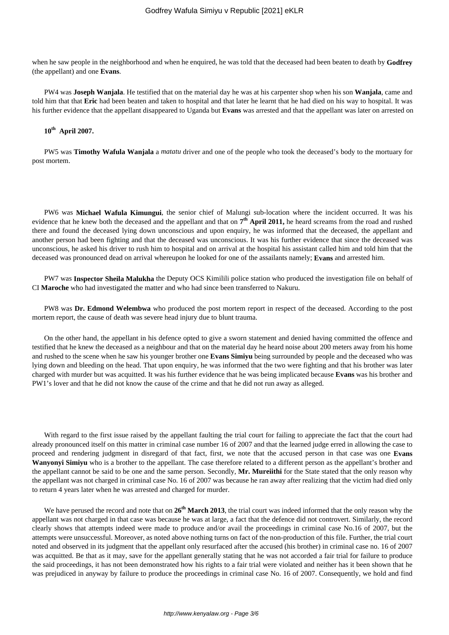when he saw people in the neighborhood and when he enquired, he was told that the deceased had been beaten to death by **Godfrey** (the appellant) and one **Evans**.

PW4 was **Joseph Wanjala**. He testified that on the material day he was at his carpenter shop when his son **Wanjala**, came and told him that that **Eric** had been beaten and taken to hospital and that later he learnt that he had died on his way to hospital. It was his further evidence that the appellant disappeared to Uganda but **Evans** was arrested and that the appellant was later on arrested on

# **10th April 2007.**

PW5 was **Timothy Wafula Wanjala** a *matatu* driver and one of the people who took the deceased's body to the mortuary for post mortem.

PW6 was **Michael Wafula Kimungui**, the senior chief of Malungi sub-location where the incident occurred. It was his evidence that he knew both the deceased and the appellant and that on  $7^{\text{th}}$  April 2011, he heard screams from the road and rushed there and found the deceased lying down unconscious and upon enquiry, he was informed that the deceased, the appellant and another person had been fighting and that the deceased was unconscious. It was his further evidence that since the deceased was unconscious, he asked his driver to rush him to hospital and on arrival at the hospital his assistant called him and told him that the deceased was pronounced dead on arrival whereupon he looked for one of the assailants namely; **Evans** and arrested him.

PW7 was **Inspector Sheila Malukha** the Deputy OCS Kimilili police station who produced the investigation file on behalf of CI **Maroche** who had investigated the matter and who had since been transferred to Nakuru.

PW8 was **Dr. Edmond Welembwa** who produced the post mortem report in respect of the deceased. According to the post mortem report, the cause of death was severe head injury due to blunt trauma.

On the other hand, the appellant in his defence opted to give a sworn statement and denied having committed the offence and testified that he knew the deceased as a neighbour and that on the material day he heard noise about 200 meters away from his home and rushed to the scene when he saw his younger brother one **Evans Simiyu** being surrounded by people and the deceased who was lying down and bleeding on the head. That upon enquiry, he was informed that the two were fighting and that his brother was later charged with murder but was acquitted. It was his further evidence that he was being implicated because **Evans** was his brother and PW1's lover and that he did not know the cause of the crime and that he did not run away as alleged.

With regard to the first issue raised by the appellant faulting the trial court for failing to appreciate the fact that the court had already pronounced itself on this matter in criminal case number 16 of 2007 and that the learned judge erred in allowing the case to proceed and rendering judgment in disregard of that fact, first, we note that the accused person in that case was one **Evans Wanyonyi Simiyu** who is a brother to the appellant. The case therefore related to a different person as the appellant's brother and the appellant cannot be said to be one and the same person. Secondly, **Mr. Mureiithi** for the State stated that the only reason why the appellant was not charged in criminal case No. 16 of 2007 was because he ran away after realizing that the victim had died only to return 4 years later when he was arrested and charged for murder.

We have perused the record and note that on  $26<sup>th</sup>$  March 2013, the trial court was indeed informed that the only reason why the appellant was not charged in that case was because he was at large, a fact that the defence did not controvert. Similarly, the record clearly shows that attempts indeed were made to produce and/or avail the proceedings in criminal case No.16 of 2007, but the attempts were unsuccessful. Moreover, as noted above nothing turns on fact of the non-production of this file. Further, the trial court noted and observed in its judgment that the appellant only resurfaced after the accused (his brother) in criminal case no. 16 of 2007 was acquitted. Be that as it may, save for the appellant generally stating that he was not accorded a fair trial for failure to produce the said proceedings, it has not been demonstrated how his rights to a fair trial were violated and neither has it been shown that he was prejudiced in anyway by failure to produce the proceedings in criminal case No. 16 of 2007. Consequently, we hold and find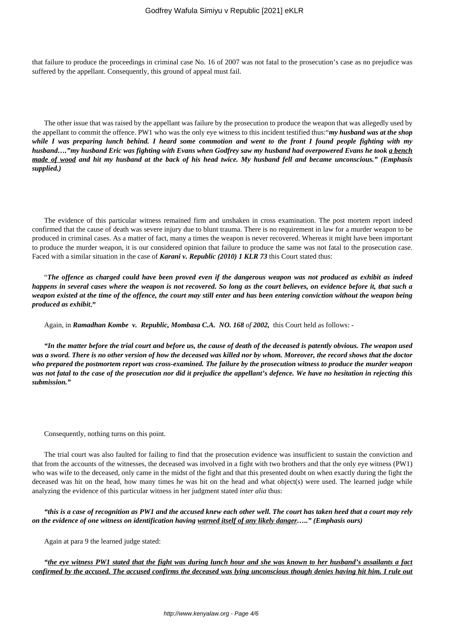that failure to produce the proceedings in criminal case No. 16 of 2007 was not fatal to the prosecution's case as no prejudice was suffered by the appellant. Consequently, this ground of appeal must fail.

The other issue that was raised by the appellant was failure by the prosecution to produce the weapon that was allegedly used by the appellant to commit the offence. PW1 who was the only eye witness to this incident testified thus:"*my husband was at the shop while I was preparing lunch behind. I heard some commotion and went to the front I found people fighting with my husband…."my husband Eric was fighting with Evans when Godfrey saw my husband had overpowered Evans he took a bench made of wood and hit my husband at the back of his head twice. My husband fell and became unconscious." (Emphasis supplied.)*

The evidence of this particular witness remained firm and unshaken in cross examination. The post mortem report indeed confirmed that the cause of death was severe injury due to blunt trauma. There is no requirement in law for a murder weapon to be produced in criminal cases. As a matter of fact, many a times the weapon is never recovered. Whereas it might have been important to produce the murder weapon, it is our considered opinion that failure to produce the same was not fatal to the prosecution case. Faced with a similar situation in the case of *Karani v. Republic (2010) 1 KLR 73* this Court stated thus:

"*The offence as charged could have been proved even if the dangerous weapon was not produced as exhibit as indeed happens in several cases where the weapon is not recovered. So long as the court believes, on evidence before it, that such a weapon existed at the time of the offence, the court may still enter and has been entering conviction without the weapon being produced as exhibit***."**

Again, in *Ramadhan Kombe v. Republic, Mombasa C.A. NO. 168 of 2002,* this Court held as follows: -

*"In the matter before the trial court and before us, the cause of death of the deceased is patently obvious. The weapon used was a sword. There is no other version of how the deceased was killed nor by whom. Moreover, the record shows that the doctor who prepared the postmortem report was cross-examined. The failure by the prosecution witness to produce the murder weapon was not fatal to the case of the prosecution nor did it prejudice the appellant's defence. We have no hesitation in rejecting this submission."*

Consequently, nothing turns on this point.

The trial court was also faulted for failing to find that the prosecution evidence was insufficient to sustain the conviction and that from the accounts of the witnesses, the deceased was involved in a fight with two brothers and that the only eye witness (PW1) who was wife to the deceased, only came in the midst of the fight and that this presented doubt on when exactly during the fight the deceased was hit on the head, how many times he was hit on the head and what object(s) were used. The learned judge while analyzing the evidence of this particular witness in her judgment stated *inter alia* thus:

*"this is a case of recognition as PW1 and the accused knew each other well. The court has taken heed that a court may rely on the evidence of one witness on identification having warned itself of any likely danger….." (Emphasis ours)*

Again at para 9 the learned judge stated:

*"the eye witness PW1 stated that the fight was during lunch hour and she was known to her husband's assailants a fact confirmed by the accused. The accused confirms the deceased was lying unconscious though denies having hit him. I rule out*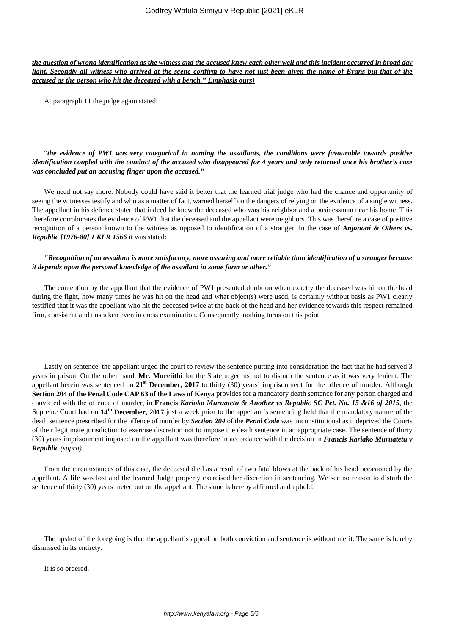*the question of wrong identification as the witness and the accused knew each other well and this incident occurred in broad day light. Secondly all witness who arrived at the scene confirm to have not just been given the name of Evans but that of the accused as the person who hit the deceased with a bench." Emphasis ours)*

At paragraph 11 the judge again stated:

## "*the evidence of PW1 was very categorical in naming the assailants, the conditions were favourable towards positive identification coupled with the conduct of the accused who disappeared for 4 years and only returned once his brother's case was concluded put an accusing finger upon the accused."*

We need not say more. Nobody could have said it better that the learned trial judge who had the chance and opportunity of seeing the witnesses testify and who as a matter of fact, warned herself on the dangers of relying on the evidence of a single witness. The appellant in his defence stated that indeed he knew the deceased who was his neighbor and a businessman near his home. This therefore corroborates the evidence of PW1 that the deceased and the appellant were neighbors. This was therefore a case of positive recognition of a person known to the witness as opposed to identification of a stranger. In the case of *Anjononi & Others vs. Republic [1976-80] 1 KLR 1566* it was stated:

## *"Recognition of an assailant is more satisfactory, more assuring and more reliable than identification of a stranger because it depends upon the personal knowledge of the assailant in some form or other."*

The contention by the appellant that the evidence of PW1 presented doubt on when exactly the deceased was hit on the head during the fight, how many times he was hit on the head and what object(s) were used, is certainly without basis as PW1 clearly testified that it was the appellant who hit the deceased twice at the back of the head and her evidence towards this respect remained firm, consistent and unshaken even in cross examination. Consequently, nothing turns on this point.

Lastly on sentence, the appellant urged the court to review the sentence putting into consideration the fact that he had served 3 years in prison. On the other hand, **Mr. Mureiithi** for the State urged us not to disturb the sentence as it was very lenient. The appellant herein was sentenced on **21st December, 2017** to thirty (30) years' imprisonment for the offence of murder. Although **Section 204 of the Penal Code CAP 63 of the Laws of Kenya** provides for a mandatory death sentence for any person charged and convicted with the offence of murder, in **Francis** *Karioko Muruatetu & Another vs Republic SC Pet. No. 15 &16 of 2015*, the Supreme Court had on **14th December, 2017** just a week prior to the appellant's sentencing held that the mandatory nature of the death sentence prescribed for the offence of murder by *Section 204* of the *Penal Code* was unconstitutional as it deprived the Courts of their legitimate jurisdiction to exercise discretion not to impose the death sentence in an appropriate case. The sentence of thirty (30) years imprisonment imposed on the appellant was therefore in accordance with the decision in *Francis Kariako Muruatetu v Republic (supra).*

From the circumstances of this case, the deceased died as a result of two fatal blows at the back of his head occasioned by the appellant. A life was lost and the learned Judge properly exercised her discretion in sentencing. We see no reason to disturb the sentence of thirty (30) years meted out on the appellant. The same is hereby affirmed and upheld.

The upshot of the foregoing is that the appellant's appeal on both conviction and sentence is without merit. The same is hereby dismissed in its entirety.

It is so ordered.